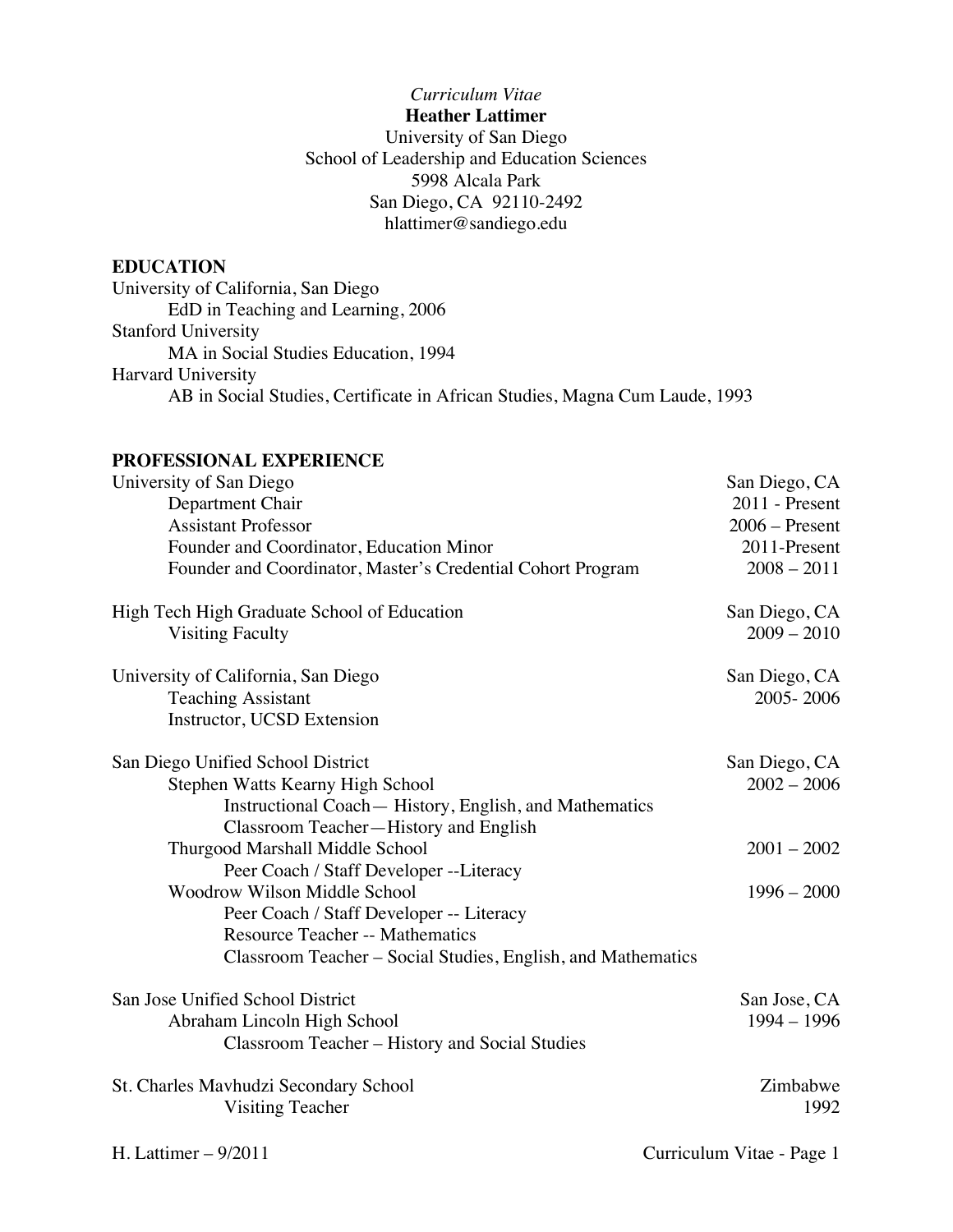## *Curriculum Vitae* **Heather Lattimer** University of San Diego School of Leadership and Education Sciences 5998 Alcala Park San Diego, CA 92110-2492 hlattimer@sandiego.edu

# **EDUCATION**

University of California, San Diego EdD in Teaching and Learning, 2006 Stanford University MA in Social Studies Education, 1994 Harvard University AB in Social Studies, Certificate in African Studies, Magna Cum Laude, 1993

## **PROFESSIONAL EXPERIENCE**

| University of San Diego                                      | San Diego, CA             |
|--------------------------------------------------------------|---------------------------|
| Department Chair                                             | 2011 - Present            |
| <b>Assistant Professor</b>                                   | $2006 -$ Present          |
| Founder and Coordinator, Education Minor                     | 2011-Present              |
| Founder and Coordinator, Master's Credential Cohort Program  | $2008 - 2011$             |
| High Tech High Graduate School of Education                  | San Diego, CA             |
| <b>Visiting Faculty</b>                                      | $2009 - 2010$             |
| University of California, San Diego                          | San Diego, CA             |
| <b>Teaching Assistant</b>                                    | 2005-2006                 |
| Instructor, UCSD Extension                                   |                           |
| San Diego Unified School District                            | San Diego, CA             |
| Stephen Watts Kearny High School                             | $2002 - 2006$             |
| Instructional Coach— History, English, and Mathematics       |                           |
| Classroom Teacher-History and English                        |                           |
| Thurgood Marshall Middle School                              | $2001 - 2002$             |
| Peer Coach / Staff Developer --Literacy                      |                           |
| <b>Woodrow Wilson Middle School</b>                          | $1996 - 2000$             |
| Peer Coach / Staff Developer -- Literacy                     |                           |
| <b>Resource Teacher -- Mathematics</b>                       |                           |
| Classroom Teacher – Social Studies, English, and Mathematics |                           |
| San Jose Unified School District                             | San Jose, CA              |
| Abraham Lincoln High School                                  | $1994 - 1996$             |
| Classroom Teacher - History and Social Studies               |                           |
| St. Charles Mavhudzi Secondary School                        | Zimbabwe                  |
| <b>Visiting Teacher</b>                                      | 1992                      |
| H. Lattimer $-9/2011$                                        | Curriculum Vitae - Page 1 |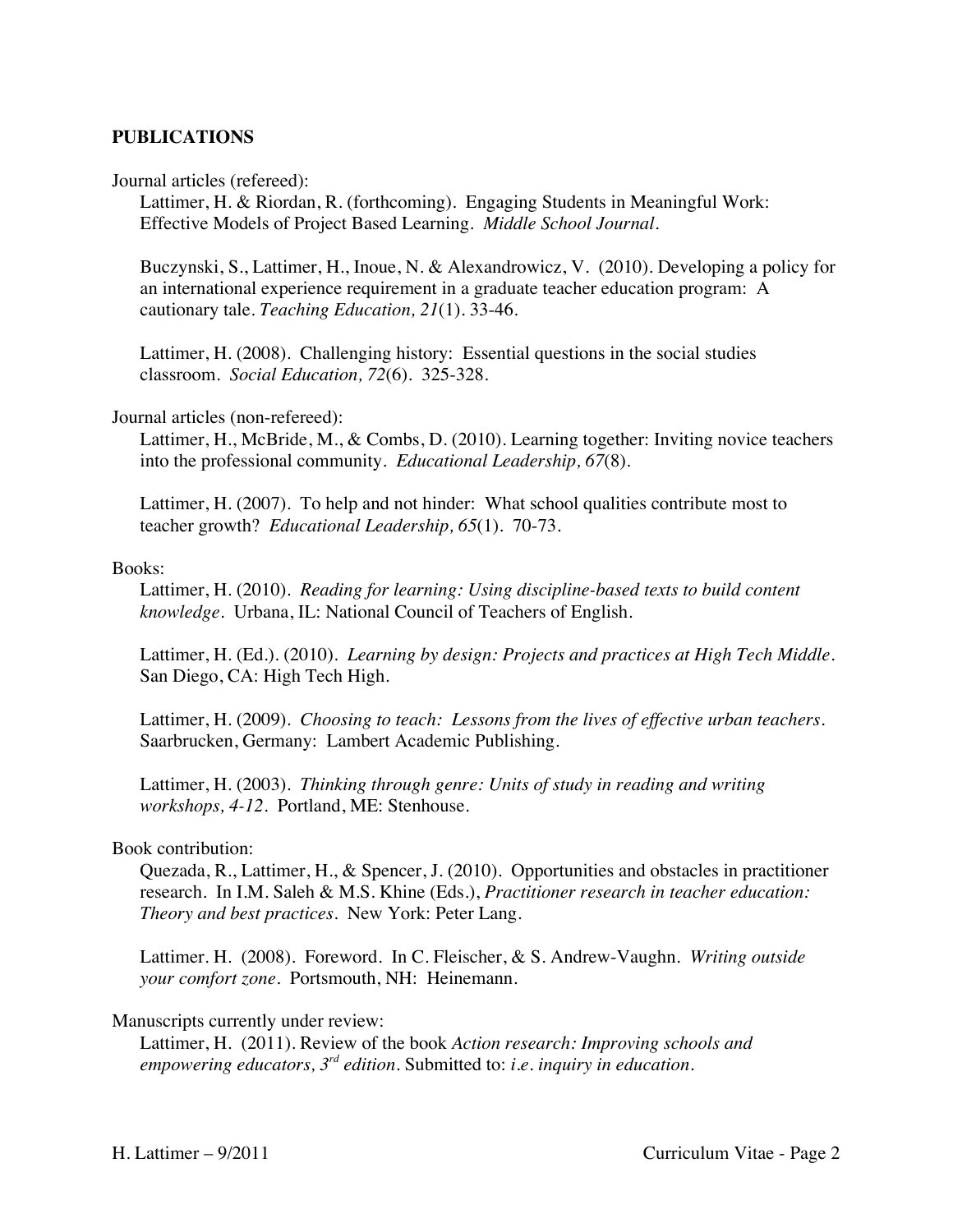#### **PUBLICATIONS**

Journal articles (refereed):

Lattimer, H. & Riordan, R. (forthcoming). Engaging Students in Meaningful Work: Effective Models of Project Based Learning. *Middle School Journal.*

Buczynski, S., Lattimer, H., Inoue, N. & Alexandrowicz, V. (2010). Developing a policy for an international experience requirement in a graduate teacher education program: A cautionary tale. *Teaching Education, 21*(1). 33-46.

Lattimer, H. (2008). Challenging history: Essential questions in the social studies classroom. *Social Education, 72*(6). 325-328.

#### Journal articles (non-refereed):

Lattimer, H., McBride, M., & Combs, D. (2010). Learning together: Inviting novice teachers into the professional community. *Educational Leadership, 67*(8).

Lattimer, H. (2007). To help and not hinder: What school qualities contribute most to teacher growth? *Educational Leadership, 65*(1). 70-73.

#### Books:

Lattimer, H. (2010). *Reading for learning: Using discipline-based texts to build content knowledge.* Urbana, IL: National Council of Teachers of English.

Lattimer, H. (Ed.). (2010). *Learning by design: Projects and practices at High Tech Middle.*  San Diego, CA: High Tech High.

Lattimer, H. (2009). *Choosing to teach: Lessons from the lives of effective urban teachers.* Saarbrucken, Germany: Lambert Academic Publishing.

Lattimer, H. (2003). *Thinking through genre: Units of study in reading and writing workshops, 4-12.* Portland, ME: Stenhouse.

#### Book contribution:

Quezada, R., Lattimer, H., & Spencer, J. (2010). Opportunities and obstacles in practitioner research. In I.M. Saleh & M.S. Khine (Eds.), *Practitioner research in teacher education: Theory and best practices.* New York: Peter Lang.

Lattimer. H. (2008). Foreword. In C. Fleischer, & S. Andrew-Vaughn. *Writing outside your comfort zone.* Portsmouth, NH: Heinemann.

#### Manuscripts currently under review:

Lattimer, H. (2011). Review of the book *Action research: Improving schools and empowering educators, 3rd edition*. Submitted to: *i.e. inquiry in education.*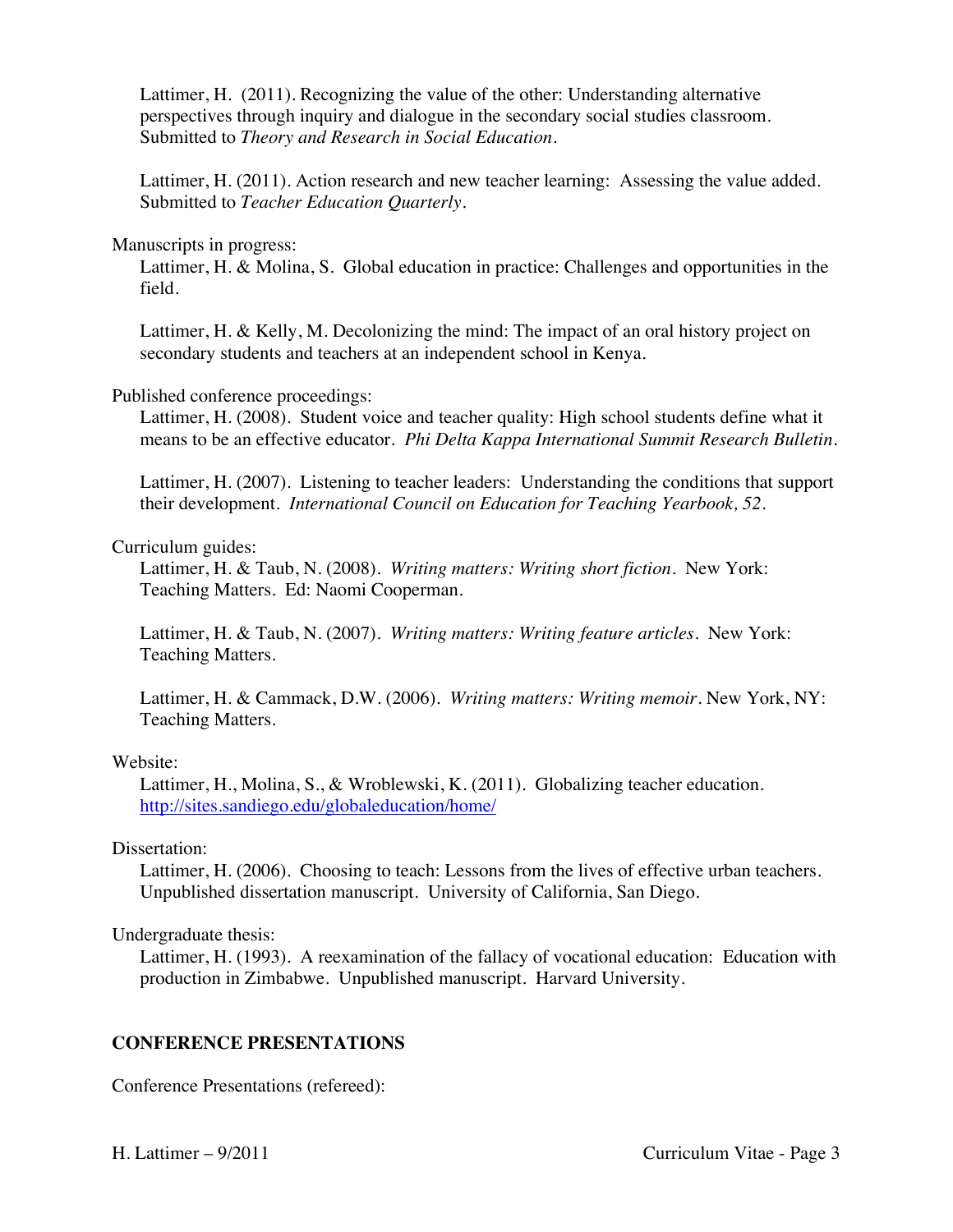Lattimer, H. (2011). Recognizing the value of the other: Understanding alternative perspectives through inquiry and dialogue in the secondary social studies classroom. Submitted to *Theory and Research in Social Education.*

Lattimer, H. (2011). Action research and new teacher learning: Assessing the value added. Submitted to *Teacher Education Quarterly.*

#### Manuscripts in progress:

Lattimer, H. & Molina, S. Global education in practice: Challenges and opportunities in the field.

Lattimer, H. & Kelly, M. Decolonizing the mind: The impact of an oral history project on secondary students and teachers at an independent school in Kenya.

#### Published conference proceedings:

Lattimer, H. (2008). Student voice and teacher quality: High school students define what it means to be an effective educator. *Phi Delta Kappa International Summit Research Bulletin.*

Lattimer, H. (2007). Listening to teacher leaders: Understanding the conditions that support their development. *International Council on Education for Teaching Yearbook, 52.*

#### Curriculum guides:

Lattimer, H. & Taub, N. (2008). *Writing matters: Writing short fiction*. New York: Teaching Matters. Ed: Naomi Cooperman.

Lattimer, H. & Taub, N. (2007). *Writing matters: Writing feature articles*. New York: Teaching Matters.

Lattimer, H. & Cammack, D.W. (2006). *Writing matters: Writing memoir*. New York, NY: Teaching Matters.

#### Website:

Lattimer, H., Molina, S., & Wroblewski, K. (2011). Globalizing teacher education. http://sites.sandiego.edu/globaleducation/home/

#### Dissertation:

Lattimer, H. (2006). Choosing to teach: Lessons from the lives of effective urban teachers. Unpublished dissertation manuscript. University of California, San Diego.

Undergraduate thesis:

Lattimer, H. (1993). A reexamination of the fallacy of vocational education: Education with production in Zimbabwe. Unpublished manuscript. Harvard University.

### **CONFERENCE PRESENTATIONS**

Conference Presentations (refereed):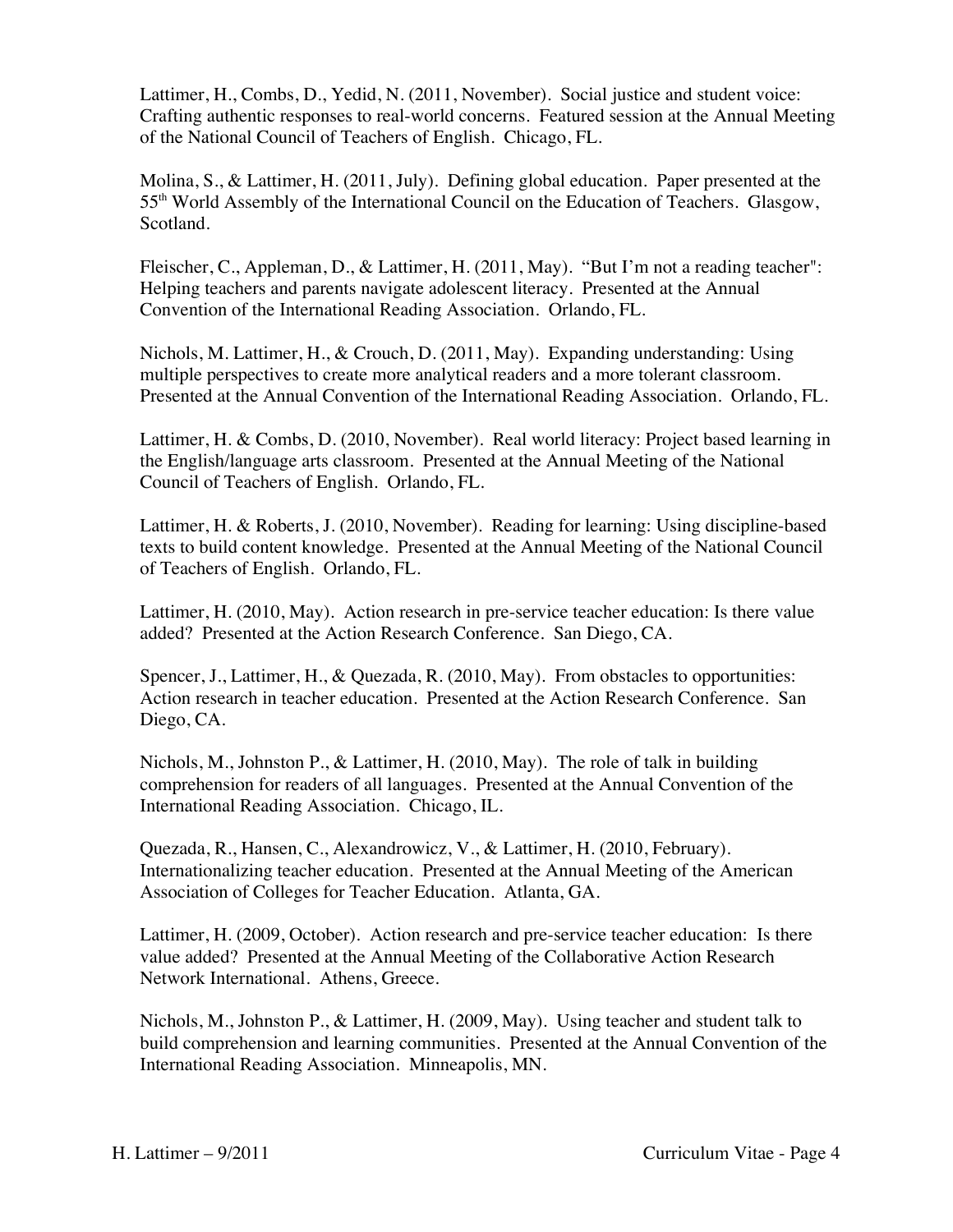Lattimer, H., Combs, D., Yedid, N. (2011, November). Social justice and student voice: Crafting authentic responses to real-world concerns. Featured session at the Annual Meeting of the National Council of Teachers of English. Chicago, FL.

Molina, S., & Lattimer, H. (2011, July). Defining global education. Paper presented at the 55th World Assembly of the International Council on the Education of Teachers. Glasgow, Scotland.

Fleischer, C., Appleman, D., & Lattimer, H. (2011, May). "But I'm not a reading teacher": Helping teachers and parents navigate adolescent literacy. Presented at the Annual Convention of the International Reading Association. Orlando, FL.

Nichols, M. Lattimer, H., & Crouch, D. (2011, May). Expanding understanding: Using multiple perspectives to create more analytical readers and a more tolerant classroom. Presented at the Annual Convention of the International Reading Association. Orlando, FL.

Lattimer, H. & Combs, D. (2010, November). Real world literacy: Project based learning in the English/language arts classroom. Presented at the Annual Meeting of the National Council of Teachers of English. Orlando, FL.

Lattimer, H. & Roberts, J. (2010, November). Reading for learning: Using discipline-based texts to build content knowledge. Presented at the Annual Meeting of the National Council of Teachers of English. Orlando, FL.

Lattimer, H. (2010, May). Action research in pre-service teacher education: Is there value added? Presented at the Action Research Conference. San Diego, CA.

Spencer, J., Lattimer, H., & Quezada, R. (2010, May). From obstacles to opportunities: Action research in teacher education. Presented at the Action Research Conference. San Diego, CA.

Nichols, M., Johnston P., & Lattimer, H. (2010, May). The role of talk in building comprehension for readers of all languages. Presented at the Annual Convention of the International Reading Association. Chicago, IL.

Quezada, R., Hansen, C., Alexandrowicz, V., & Lattimer, H. (2010, February). Internationalizing teacher education. Presented at the Annual Meeting of the American Association of Colleges for Teacher Education. Atlanta, GA.

Lattimer, H. (2009, October). Action research and pre-service teacher education: Is there value added? Presented at the Annual Meeting of the Collaborative Action Research Network International. Athens, Greece.

Nichols, M., Johnston P., & Lattimer, H. (2009, May). Using teacher and student talk to build comprehension and learning communities. Presented at the Annual Convention of the International Reading Association. Minneapolis, MN.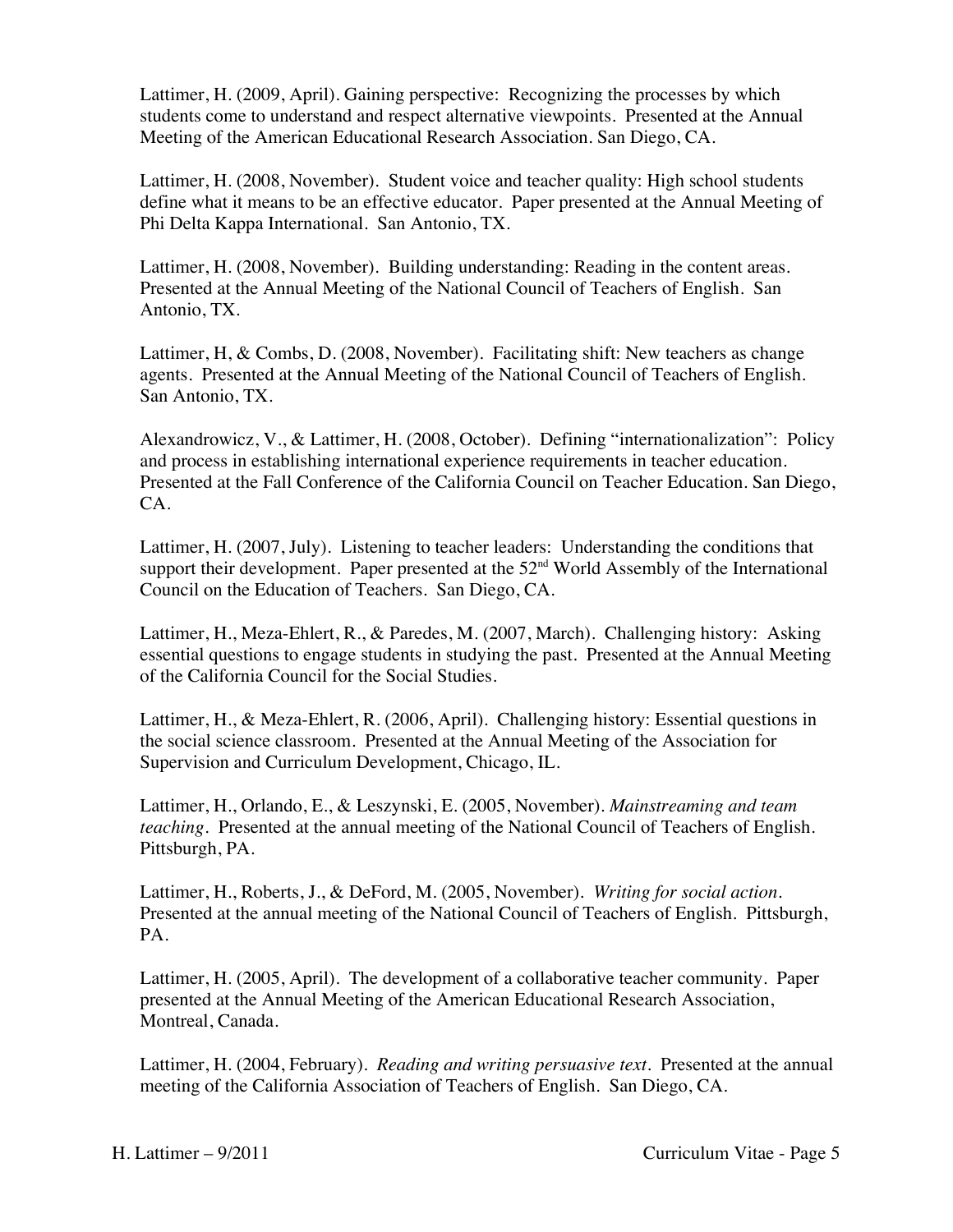Lattimer, H. (2009, April). Gaining perspective: Recognizing the processes by which students come to understand and respect alternative viewpoints.Presented at the Annual Meeting of the American Educational Research Association. San Diego, CA.

Lattimer, H. (2008, November). Student voice and teacher quality: High school students define what it means to be an effective educator. Paper presented at the Annual Meeting of Phi Delta Kappa International. San Antonio, TX.

Lattimer, H. (2008, November). Building understanding: Reading in the content areas. Presented at the Annual Meeting of the National Council of Teachers of English. San Antonio, TX.

Lattimer, H, & Combs, D. (2008, November). Facilitating shift: New teachers as change agents. Presented at the Annual Meeting of the National Council of Teachers of English. San Antonio, TX.

Alexandrowicz, V., & Lattimer, H. (2008, October). Defining "internationalization": Policy and process in establishing international experience requirements in teacher education. Presented at the Fall Conference of the California Council on Teacher Education. San Diego, CA.

Lattimer, H. (2007, July). Listening to teacher leaders: Understanding the conditions that support their development. Paper presented at the  $52<sup>nd</sup>$  World Assembly of the International Council on the Education of Teachers. San Diego, CA.

Lattimer, H., Meza-Ehlert, R., & Paredes, M. (2007, March). Challenging history: Asking essential questions to engage students in studying the past. Presented at the Annual Meeting of the California Council for the Social Studies.

Lattimer, H., & Meza-Ehlert, R. (2006, April). Challenging history: Essential questions in the social science classroom. Presented at the Annual Meeting of the Association for Supervision and Curriculum Development, Chicago, IL.

Lattimer, H., Orlando, E., & Leszynski, E. (2005, November). *Mainstreaming and team teaching*. Presented at the annual meeting of the National Council of Teachers of English. Pittsburgh, PA.

Lattimer, H., Roberts, J., & DeFord, M. (2005, November). *Writing for social action*. Presented at the annual meeting of the National Council of Teachers of English. Pittsburgh, PA.

Lattimer, H. (2005, April). The development of a collaborative teacher community. Paper presented at the Annual Meeting of the American Educational Research Association, Montreal, Canada.

Lattimer, H. (2004, February). *Reading and writing persuasive text*. Presented at the annual meeting of the California Association of Teachers of English. San Diego, CA.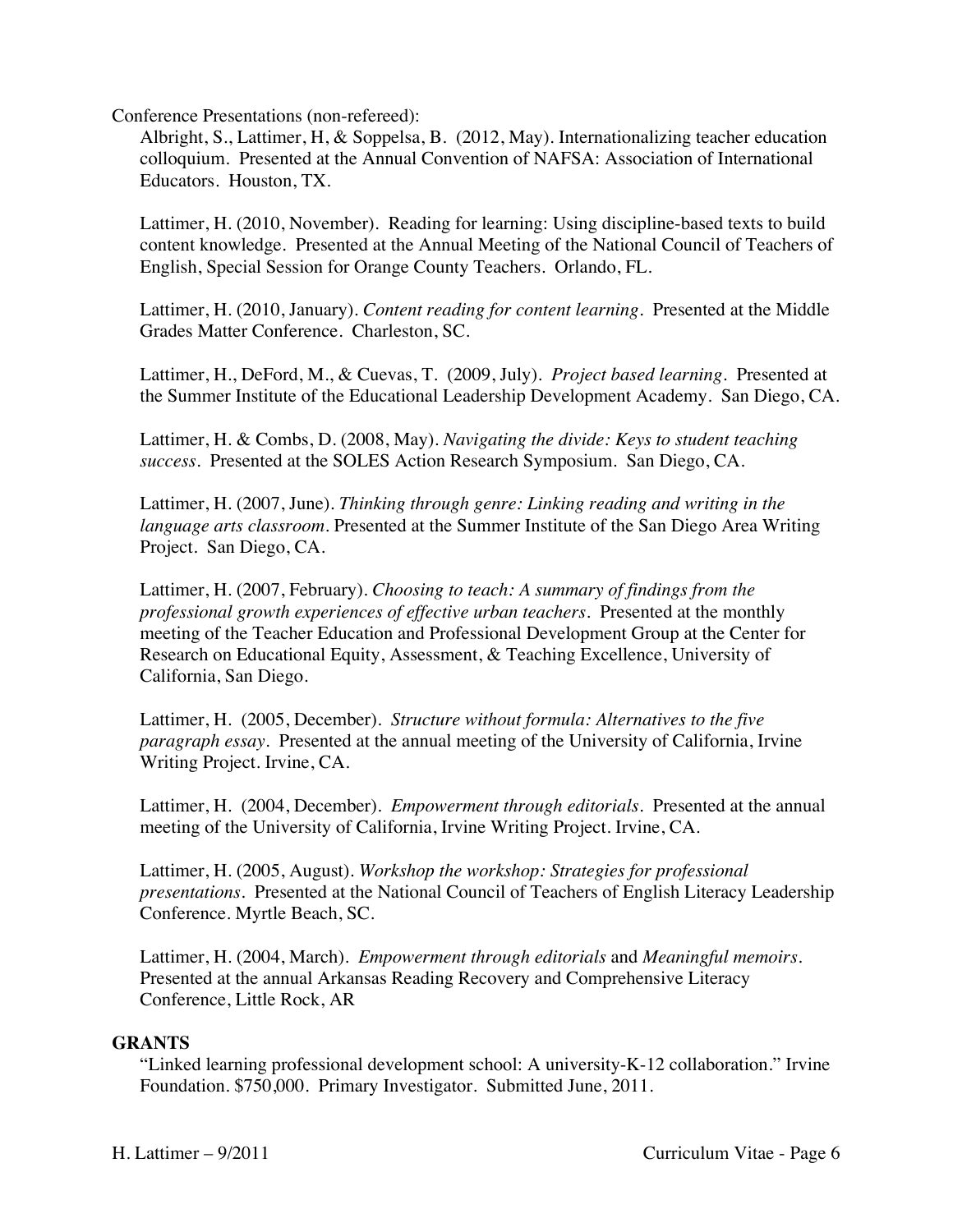Conference Presentations (non-refereed):

Albright, S., Lattimer, H, & Soppelsa, B. (2012, May). Internationalizing teacher education colloquium. Presented at the Annual Convention of NAFSA: Association of International Educators. Houston, TX.

Lattimer, H. (2010, November). Reading for learning: Using discipline-based texts to build content knowledge. Presented at the Annual Meeting of the National Council of Teachers of English, Special Session for Orange County Teachers. Orlando, FL.

Lattimer, H. (2010, January). *Content reading for content learning.* Presented at the Middle Grades Matter Conference. Charleston, SC.

Lattimer, H., DeFord, M., & Cuevas, T. (2009, July). *Project based learning.* Presented at the Summer Institute of the Educational Leadership Development Academy. San Diego, CA.

Lattimer, H. & Combs, D. (2008, May). *Navigating the divide: Keys to student teaching success.* Presented at the SOLES Action Research Symposium. San Diego, CA.

Lattimer, H. (2007, June). *Thinking through genre: Linking reading and writing in the language arts classroom.* Presented at the Summer Institute of the San Diego Area Writing Project. San Diego, CA.

Lattimer, H. (2007, February). *Choosing to teach: A summary of findings from the professional growth experiences of effective urban teachers.* Presented at the monthly meeting of the Teacher Education and Professional Development Group at the Center for Research on Educational Equity, Assessment, & Teaching Excellence, University of California, San Diego.

Lattimer, H. (2005, December). *Structure without formula: Alternatives to the five paragraph essay*. Presented at the annual meeting of the University of California, Irvine Writing Project. Irvine, CA.

Lattimer, H. (2004, December). *Empowerment through editorials*. Presented at the annual meeting of the University of California, Irvine Writing Project. Irvine, CA.

Lattimer, H. (2005, August). *Workshop the workshop: Strategies for professional presentations*. Presented at the National Council of Teachers of English Literacy Leadership Conference. Myrtle Beach, SC.

Lattimer, H. (2004, March). *Empowerment through editorials* and *Meaningful memoirs.* Presented at the annual Arkansas Reading Recovery and Comprehensive Literacy Conference, Little Rock, AR

### **GRANTS**

"Linked learning professional development school: A university-K-12 collaboration." Irvine Foundation. \$750,000. Primary Investigator. Submitted June, 2011.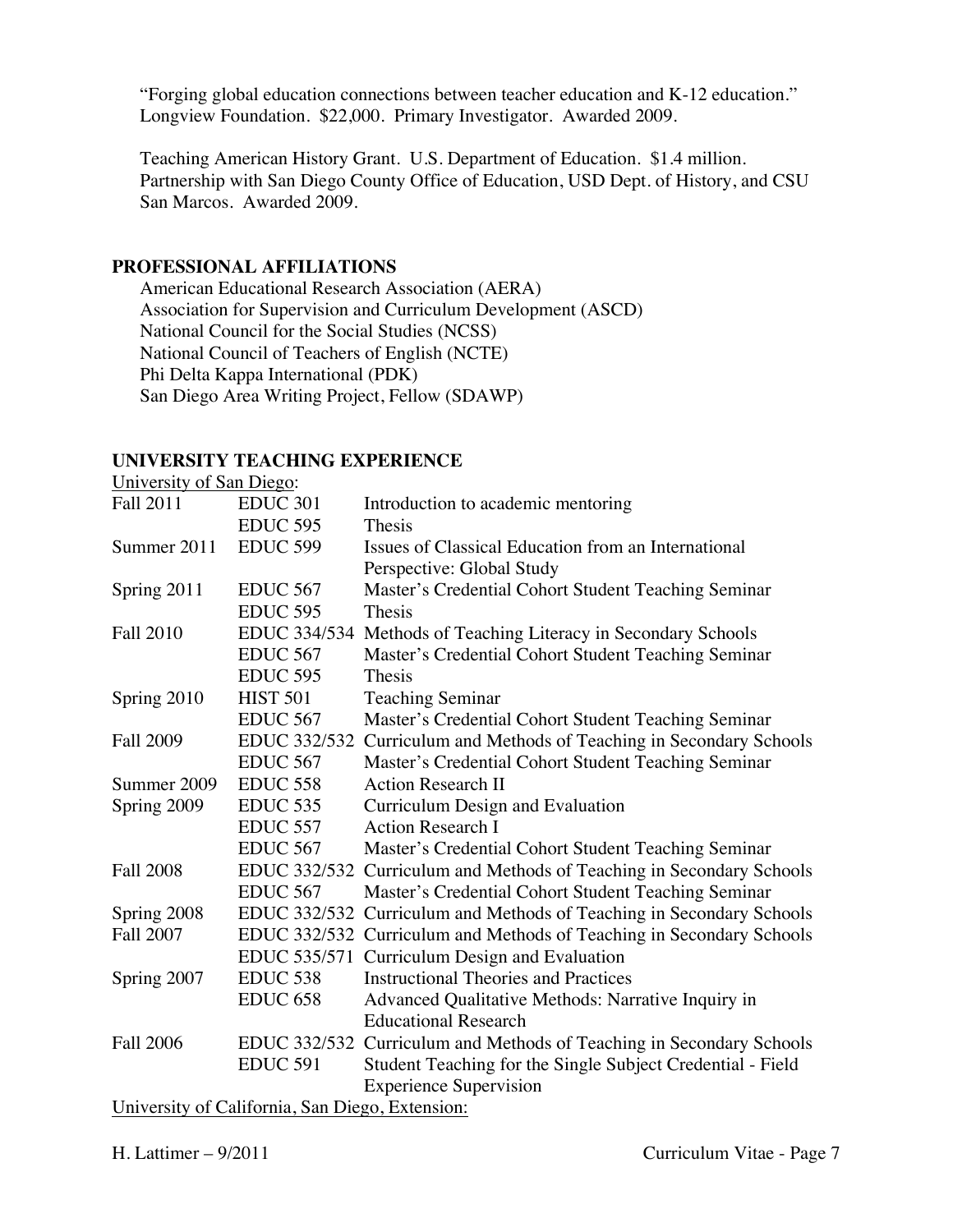"Forging global education connections between teacher education and K-12 education." Longview Foundation. \$22,000. Primary Investigator. Awarded 2009.

Teaching American History Grant. U.S. Department of Education. \$1.4 million. Partnership with San Diego County Office of Education, USD Dept. of History, and CSU San Marcos. Awarded 2009.

## **PROFESSIONAL AFFILIATIONS**

American Educational Research Association (AERA) Association for Supervision and Curriculum Development (ASCD) National Council for the Social Studies (NCSS) National Council of Teachers of English (NCTE) Phi Delta Kappa International (PDK) San Diego Area Writing Project, Fellow (SDAWP)

## **UNIVERSITY TEACHING EXPERIENCE**

| University of San Diego: |                                                 |                                                                      |
|--------------------------|-------------------------------------------------|----------------------------------------------------------------------|
| Fall 2011                | <b>EDUC 301</b>                                 | Introduction to academic mentoring                                   |
|                          | <b>EDUC 595</b>                                 | Thesis                                                               |
| Summer 2011              | <b>EDUC 599</b>                                 | Issues of Classical Education from an International                  |
|                          |                                                 | Perspective: Global Study                                            |
| Spring 2011              | <b>EDUC 567</b>                                 | Master's Credential Cohort Student Teaching Seminar                  |
|                          | <b>EDUC 595</b>                                 | Thesis                                                               |
| <b>Fall 2010</b>         | EDUC 334/534                                    | Methods of Teaching Literacy in Secondary Schools                    |
|                          | <b>EDUC 567</b>                                 | Master's Credential Cohort Student Teaching Seminar                  |
|                          | <b>EDUC 595</b>                                 | Thesis                                                               |
| Spring 2010              | <b>HIST 501</b>                                 | <b>Teaching Seminar</b>                                              |
|                          | EDUC <sub>567</sub>                             | Master's Credential Cohort Student Teaching Seminar                  |
| <b>Fall 2009</b>         | EDUC 332/532                                    | Curriculum and Methods of Teaching in Secondary Schools              |
|                          | <b>EDUC 567</b>                                 | Master's Credential Cohort Student Teaching Seminar                  |
| Summer 2009              | <b>EDUC 558</b>                                 | <b>Action Research II</b>                                            |
| Spring 2009              | <b>EDUC 535</b>                                 | Curriculum Design and Evaluation                                     |
|                          | <b>EDUC 557</b>                                 | <b>Action Research I</b>                                             |
|                          | <b>EDUC 567</b>                                 | Master's Credential Cohort Student Teaching Seminar                  |
| <b>Fall 2008</b>         | <b>EDUC 332/532</b>                             | Curriculum and Methods of Teaching in Secondary Schools              |
|                          | <b>EDUC 567</b>                                 | Master's Credential Cohort Student Teaching Seminar                  |
| Spring 2008              | EDUC 332/532                                    | Curriculum and Methods of Teaching in Secondary Schools              |
| <b>Fall 2007</b>         |                                                 | EDUC 332/532 Curriculum and Methods of Teaching in Secondary Schools |
|                          | <b>EDUC 535/571</b>                             | Curriculum Design and Evaluation                                     |
| Spring 2007              | <b>EDUC 538</b>                                 | <b>Instructional Theories and Practices</b>                          |
|                          | <b>EDUC 658</b>                                 | Advanced Qualitative Methods: Narrative Inquiry in                   |
|                          |                                                 | <b>Educational Research</b>                                          |
| <b>Fall 2006</b>         |                                                 | EDUC 332/532 Curriculum and Methods of Teaching in Secondary Schools |
|                          | <b>EDUC 591</b>                                 | Student Teaching for the Single Subject Credential - Field           |
|                          |                                                 | <b>Experience Supervision</b>                                        |
|                          | University of California, San Diego, Extension: |                                                                      |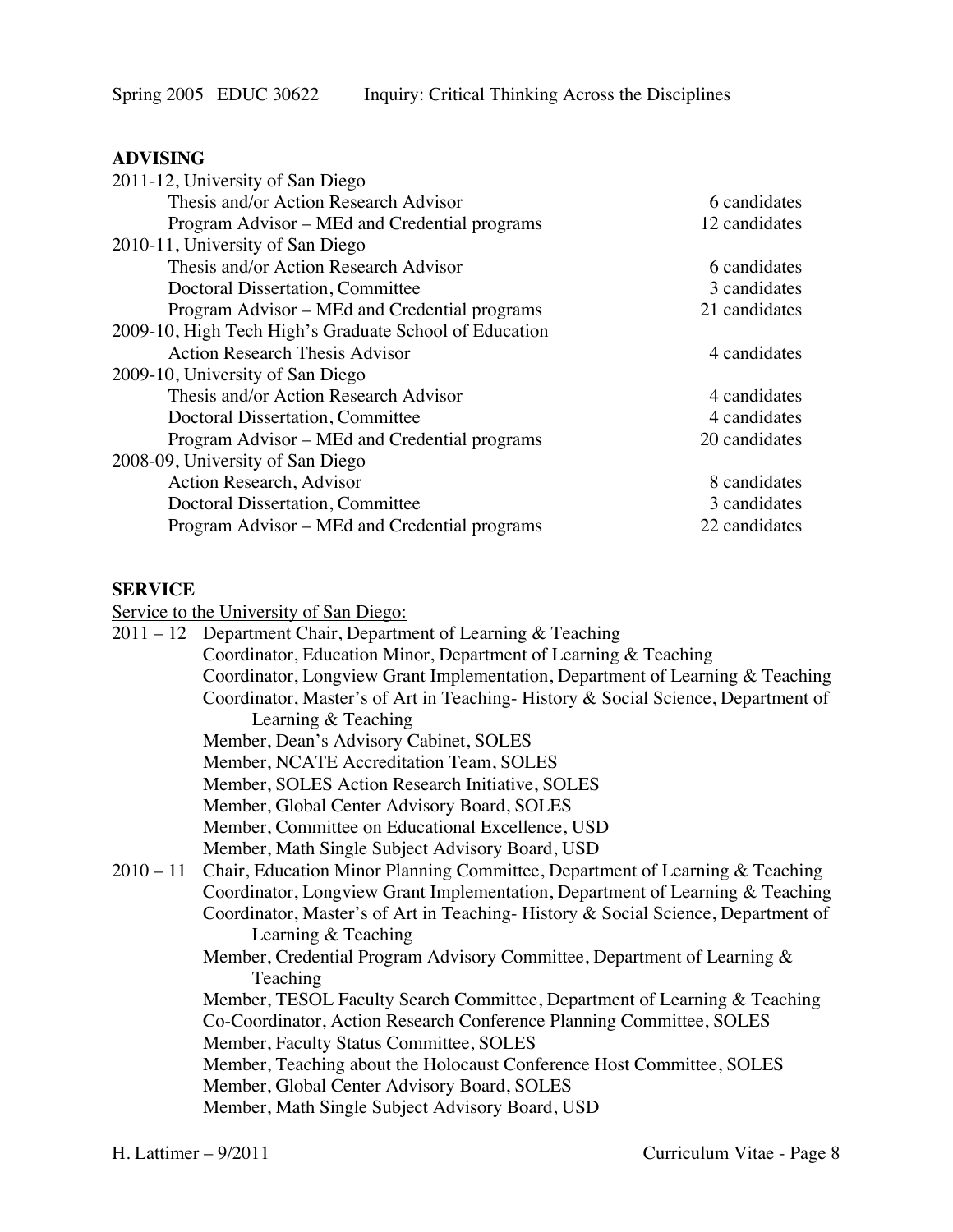### **ADVISING**

| 2011-12, University of San Diego                       |               |
|--------------------------------------------------------|---------------|
| Thesis and/or Action Research Advisor                  | 6 candidates  |
| Program Advisor – MEd and Credential programs          | 12 candidates |
| 2010-11, University of San Diego                       |               |
| Thesis and/or Action Research Advisor                  | 6 candidates  |
| Doctoral Dissertation, Committee                       | 3 candidates  |
| Program Advisor – MEd and Credential programs          | 21 candidates |
| 2009-10, High Tech High's Graduate School of Education |               |
| <b>Action Research Thesis Advisor</b>                  | 4 candidates  |
| 2009-10, University of San Diego                       |               |
| Thesis and/or Action Research Advisor                  | 4 candidates  |
| Doctoral Dissertation, Committee                       | 4 candidates  |
| Program Advisor – MEd and Credential programs          | 20 candidates |
| 2008-09, University of San Diego                       |               |
| Action Research, Advisor                               | 8 candidates  |
| Doctoral Dissertation, Committee                       | 3 candidates  |
| Program Advisor – MEd and Credential programs          | 22 candidates |
|                                                        |               |

## **SERVICE**

Service to the University of San Diego:

| $\frac{1}{2}$ and $\frac{1}{2}$ and $\frac{1}{2}$ and $\frac{1}{2}$ and $\frac{1}{2}$ and $\frac{1}{2}$ and $\frac{1}{2}$ and $\frac{1}{2}$ and $\frac{1}{2}$ and $\frac{1}{2}$ and $\frac{1}{2}$ and $\frac{1}{2}$ and $\frac{1}{2}$ and $\frac{1}{2}$ and $\frac{1}{2}$ and $\frac{1}{2}$ a |
|-----------------------------------------------------------------------------------------------------------------------------------------------------------------------------------------------------------------------------------------------------------------------------------------------|
| $2011 - 12$ Department Chair, Department of Learning & Teaching                                                                                                                                                                                                                               |
| Coordinator, Education Minor, Department of Learning & Teaching                                                                                                                                                                                                                               |
| Coordinator, Longview Grant Implementation, Department of Learning & Teaching                                                                                                                                                                                                                 |
| Coordinator, Master's of Art in Teaching-History & Social Science, Department of                                                                                                                                                                                                              |
| Learning & Teaching                                                                                                                                                                                                                                                                           |
| Member, Dean's Advisory Cabinet, SOLES                                                                                                                                                                                                                                                        |
| Member, NCATE Accreditation Team, SOLES                                                                                                                                                                                                                                                       |
| Member, SOLES Action Research Initiative, SOLES                                                                                                                                                                                                                                               |
| Member, Global Center Advisory Board, SOLES                                                                                                                                                                                                                                                   |
| Member, Committee on Educational Excellence, USD                                                                                                                                                                                                                                              |
| Member, Math Single Subject Advisory Board, USD                                                                                                                                                                                                                                               |
| 2010 – 11 Chair, Education Minor Planning Committee, Department of Learning & Teaching                                                                                                                                                                                                        |
| Coordinator, Longview Grant Implementation, Department of Learning & Teaching                                                                                                                                                                                                                 |
| Coordinator, Master's of Art in Teaching-History & Social Science, Department of                                                                                                                                                                                                              |
| Learning & Teaching                                                                                                                                                                                                                                                                           |
| Member, Credential Program Advisory Committee, Department of Learning &                                                                                                                                                                                                                       |
| Teaching                                                                                                                                                                                                                                                                                      |
| Member, TESOL Faculty Search Committee, Department of Learning & Teaching                                                                                                                                                                                                                     |
| Co-Coordinator, Action Research Conference Planning Committee, SOLES                                                                                                                                                                                                                          |
| Member, Faculty Status Committee, SOLES                                                                                                                                                                                                                                                       |
| Member, Teaching about the Holocaust Conference Host Committee, SOLES                                                                                                                                                                                                                         |
| Member, Global Center Advisory Board, SOLES                                                                                                                                                                                                                                                   |
| Member, Math Single Subject Advisory Board, USD                                                                                                                                                                                                                                               |
|                                                                                                                                                                                                                                                                                               |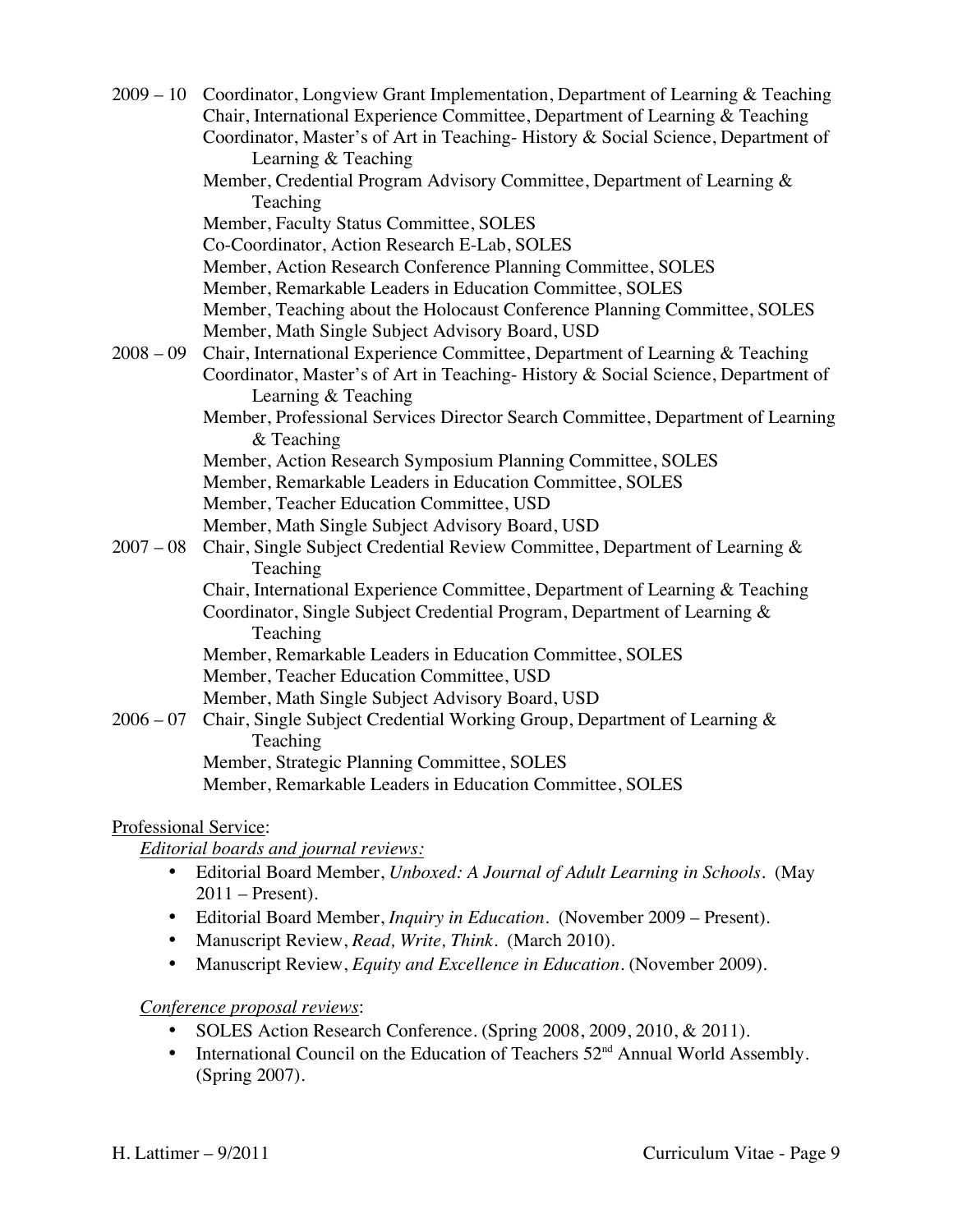|             | 2009 – 10 Coordinator, Longview Grant Implementation, Department of Learning & Teaching<br>Chair, International Experience Committee, Department of Learning & Teaching |
|-------------|-------------------------------------------------------------------------------------------------------------------------------------------------------------------------|
|             | Coordinator, Master's of Art in Teaching-History & Social Science, Department of                                                                                        |
|             | Learning & Teaching                                                                                                                                                     |
|             | Member, Credential Program Advisory Committee, Department of Learning &                                                                                                 |
|             | Teaching                                                                                                                                                                |
|             | Member, Faculty Status Committee, SOLES                                                                                                                                 |
|             | Co-Coordinator, Action Research E-Lab, SOLES                                                                                                                            |
|             | Member, Action Research Conference Planning Committee, SOLES                                                                                                            |
|             | Member, Remarkable Leaders in Education Committee, SOLES                                                                                                                |
|             | Member, Teaching about the Holocaust Conference Planning Committee, SOLES                                                                                               |
|             | Member, Math Single Subject Advisory Board, USD                                                                                                                         |
| $2008 - 09$ | Chair, International Experience Committee, Department of Learning & Teaching                                                                                            |
|             | Coordinator, Master's of Art in Teaching-History & Social Science, Department of<br>Learning & Teaching                                                                 |
|             | Member, Professional Services Director Search Committee, Department of Learning<br>& Teaching                                                                           |
|             | Member, Action Research Symposium Planning Committee, SOLES                                                                                                             |
|             | Member, Remarkable Leaders in Education Committee, SOLES                                                                                                                |
|             | Member, Teacher Education Committee, USD                                                                                                                                |
|             | Member, Math Single Subject Advisory Board, USD                                                                                                                         |
| $2007 - 08$ | Chair, Single Subject Credential Review Committee, Department of Learning &<br>Teaching                                                                                 |
|             | Chair, International Experience Committee, Department of Learning & Teaching                                                                                            |
|             | Coordinator, Single Subject Credential Program, Department of Learning &                                                                                                |
|             | Teaching                                                                                                                                                                |
|             | Member, Remarkable Leaders in Education Committee, SOLES                                                                                                                |
|             | Member, Teacher Education Committee, USD                                                                                                                                |
|             | Member, Math Single Subject Advisory Board, USD                                                                                                                         |
| $2006 - 07$ | Chair, Single Subject Credential Working Group, Department of Learning &                                                                                                |
|             | Teaching                                                                                                                                                                |
|             | Member, Strategic Planning Committee, SOLES                                                                                                                             |
|             | Member, Remarkable Leaders in Education Committee, SOLES                                                                                                                |
|             |                                                                                                                                                                         |

### Professional Service:

#### *Editorial boards and journal reviews:*

- Editorial Board Member, *Unboxed: A Journal of Adult Learning in Schools*. (May 2011 – Present).
- Editorial Board Member, *Inquiry in Education*. (November 2009 Present).
- Manuscript Review, *Read, Write, Think.* (March 2010).
- Manuscript Review, *Equity and Excellence in Education*. (November 2009).

### *Conference proposal reviews*:

- SOLES Action Research Conference. (Spring 2008, 2009, 2010, & 2011).
- International Council on the Education of Teachers  $52<sup>nd</sup>$  Annual World Assembly. (Spring 2007).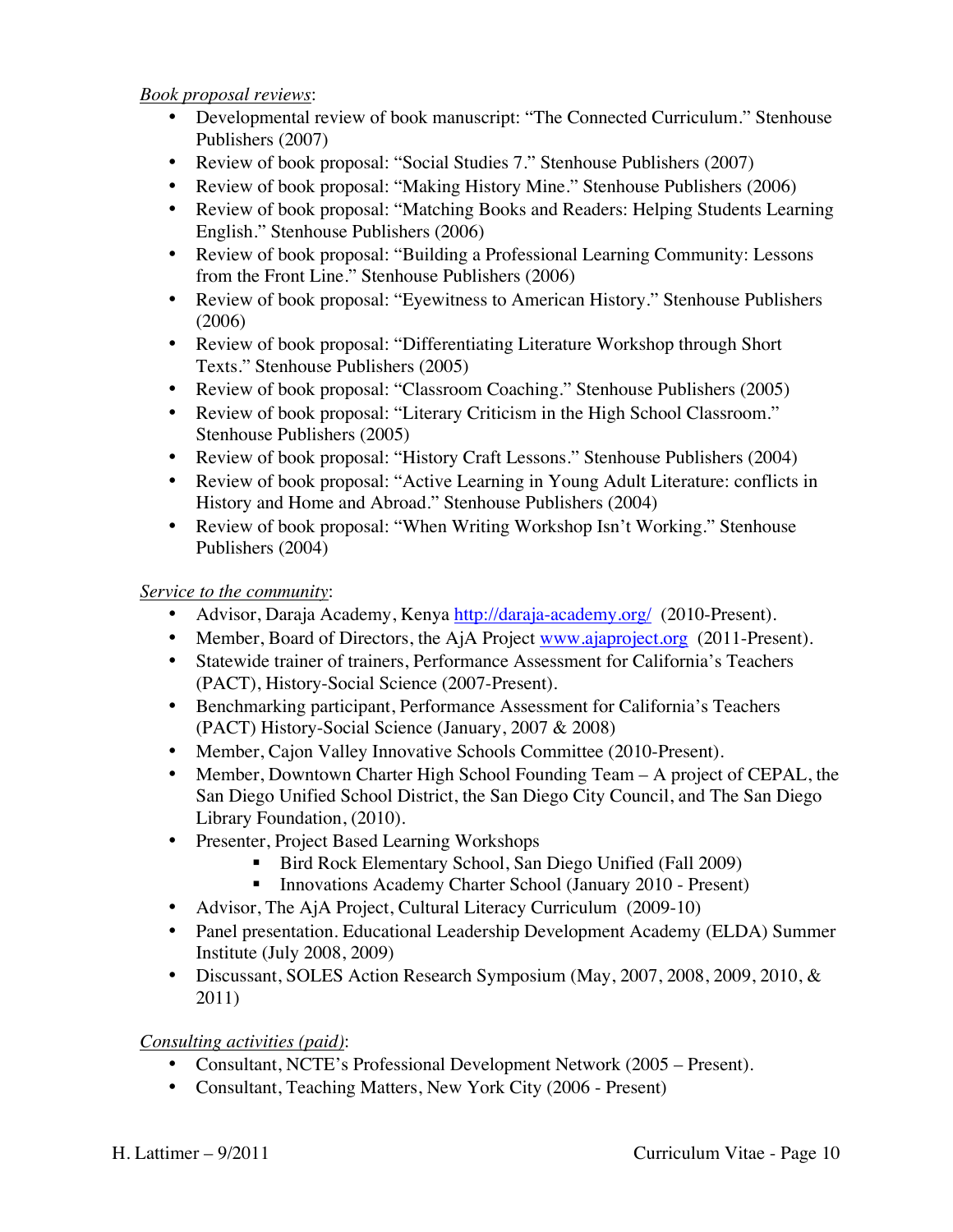*Book proposal reviews*:

- Developmental review of book manuscript: "The Connected Curriculum." Stenhouse Publishers (2007)
- Review of book proposal: "Social Studies 7." Stenhouse Publishers (2007)
- Review of book proposal: "Making History Mine." Stenhouse Publishers (2006)
- Review of book proposal: "Matching Books and Readers: Helping Students Learning English." Stenhouse Publishers (2006)
- Review of book proposal: "Building a Professional Learning Community: Lessons from the Front Line." Stenhouse Publishers (2006)
- Review of book proposal: "Eyewitness to American History." Stenhouse Publishers (2006)
- Review of book proposal: "Differentiating Literature Workshop through Short Texts." Stenhouse Publishers (2005)
- Review of book proposal: "Classroom Coaching." Stenhouse Publishers (2005)
- Review of book proposal: "Literary Criticism in the High School Classroom." Stenhouse Publishers (2005)
- Review of book proposal: "History Craft Lessons." Stenhouse Publishers (2004)
- Review of book proposal: "Active Learning in Young Adult Literature: conflicts in History and Home and Abroad." Stenhouse Publishers (2004)
- Review of book proposal: "When Writing Workshop Isn't Working." Stenhouse Publishers (2004)

*Service to the community*:

- Advisor, Daraja Academy, Kenya http://daraja-academy.org/ (2010-Present).
- Member, Board of Directors, the AjA Project www.ajaproject.org (2011-Present).
- Statewide trainer of trainers, Performance Assessment for California's Teachers (PACT), History-Social Science (2007-Present).
- Benchmarking participant, Performance Assessment for California's Teachers (PACT) History-Social Science (January, 2007 & 2008)
- Member, Cajon Valley Innovative Schools Committee (2010-Present).
- Member, Downtown Charter High School Founding Team A project of CEPAL, the San Diego Unified School District, the San Diego City Council, and The San Diego Library Foundation, (2010).
- Presenter, Project Based Learning Workshops
	- ! Bird Rock Elementary School, San Diego Unified (Fall 2009)
	- **IDED** Innovations Academy Charter School (January 2010 Present)
- Advisor, The AjA Project, Cultural Literacy Curriculum (2009-10)
- Panel presentation. Educational Leadership Development Academy (ELDA) Summer Institute (July 2008, 2009)
- Discussant, SOLES Action Research Symposium (May, 2007, 2008, 2009, 2010, & 2011)

# *Consulting activities (paid)*:

- Consultant, NCTE's Professional Development Network (2005 Present).
- Consultant, Teaching Matters, New York City (2006 Present)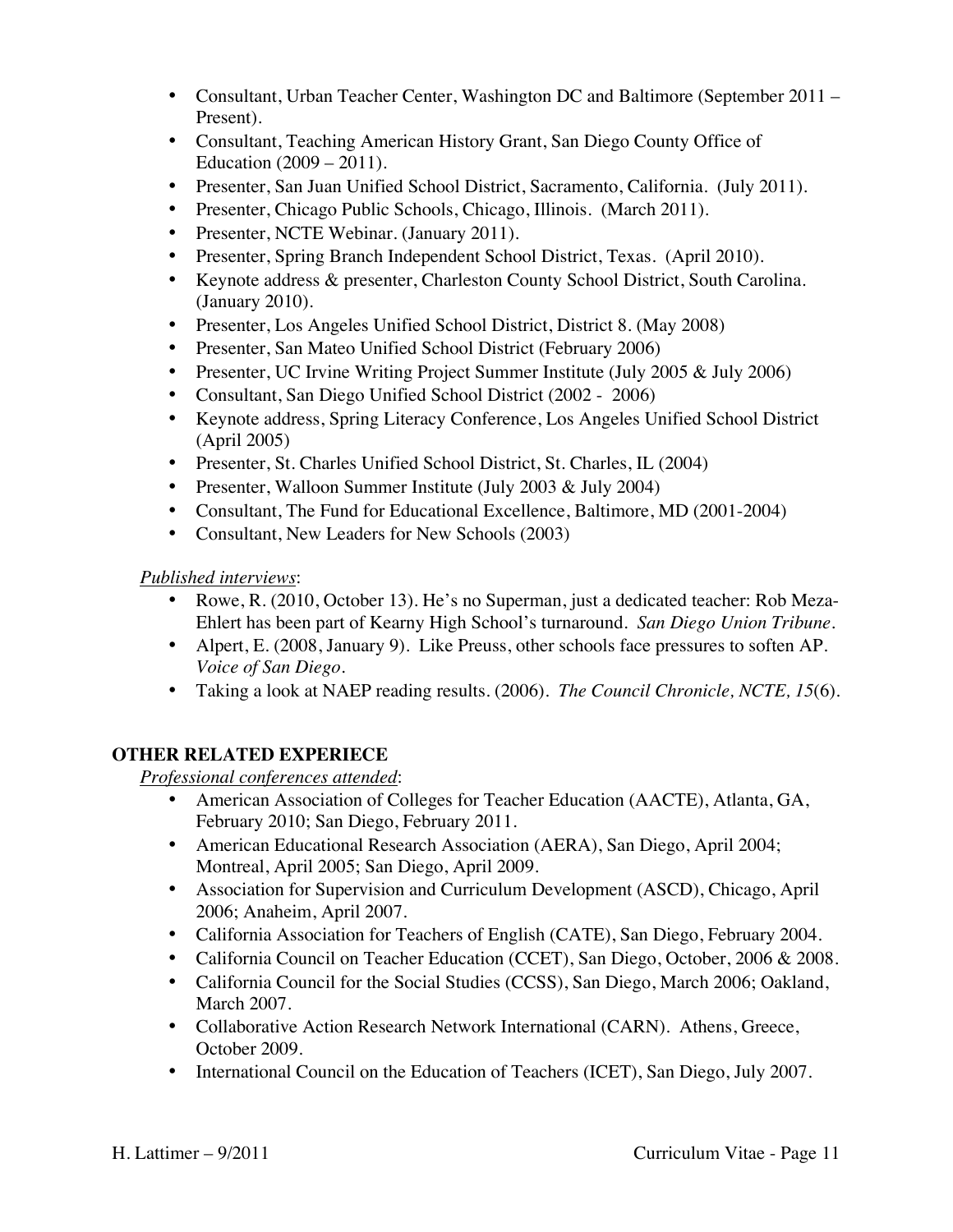- Consultant, Urban Teacher Center, Washington DC and Baltimore (September 2011 Present).
- Consultant, Teaching American History Grant, San Diego County Office of Education (2009 – 2011).
- Presenter, San Juan Unified School District, Sacramento, California. (July 2011).
- Presenter, Chicago Public Schools, Chicago, Illinois. (March 2011).
- Presenter, NCTE Webinar. (January 2011).
- Presenter, Spring Branch Independent School District, Texas. (April 2010).
- Keynote address & presenter, Charleston County School District, South Carolina. (January 2010).
- Presenter, Los Angeles Unified School District, District 8. (May 2008)
- Presenter, San Mateo Unified School District (February 2006)
- Presenter, UC Irvine Writing Project Summer Institute (July 2005 & July 2006)
- Consultant, San Diego Unified School District (2002 2006)
- Keynote address, Spring Literacy Conference, Los Angeles Unified School District (April 2005)
- Presenter, St. Charles Unified School District, St. Charles, IL (2004)
- Presenter, Walloon Summer Institute (July 2003 & July 2004)
- Consultant, The Fund for Educational Excellence, Baltimore, MD (2001-2004)
- Consultant, New Leaders for New Schools (2003)

# *Published interviews*:

- Rowe, R. (2010, October 13). He's no Superman, just a dedicated teacher: Rob Meza-Ehlert has been part of Kearny High School's turnaround. *San Diego Union Tribune.*
- Alpert, E. (2008, January 9). Like Preuss, other schools face pressures to soften AP. *Voice of San Diego.*
- Taking a look at NAEP reading results. (2006). *The Council Chronicle, NCTE, 15*(6).

# **OTHER RELATED EXPERIECE**

*Professional conferences attended*:

- American Association of Colleges for Teacher Education (AACTE), Atlanta, GA, February 2010; San Diego, February 2011.
- American Educational Research Association (AERA), San Diego, April 2004; Montreal, April 2005; San Diego, April 2009.
- Association for Supervision and Curriculum Development (ASCD), Chicago, April 2006; Anaheim, April 2007.
- California Association for Teachers of English (CATE), San Diego, February 2004.
- California Council on Teacher Education (CCET), San Diego, October, 2006 & 2008.
- California Council for the Social Studies (CCSS), San Diego, March 2006; Oakland, March 2007.
- Collaborative Action Research Network International (CARN). Athens, Greece, October 2009.
- International Council on the Education of Teachers (ICET), San Diego, July 2007.